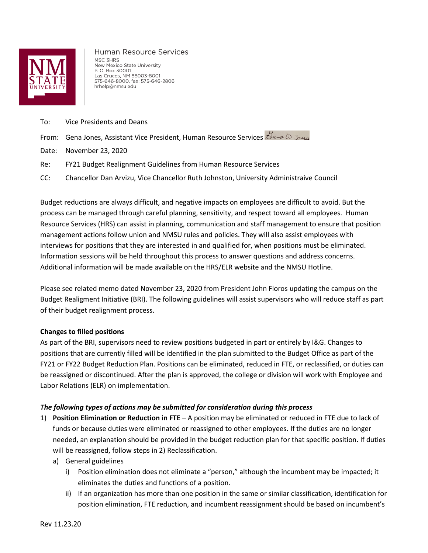

Human Resource Services MSC 3HRS New Mexico State University P. O. Box 30001 Las Cruces, NM 88003-8001 575-646-8000, fax: 575-646-2806 hrhelp@nmsu.edu

- To: Vice Presidents and Deans
- From: Gena Jones, Assistant Vice President, Human Resource Services
- Date: November 23, 2020
- Re: FY21 Budget Realignment Guidelines from Human Resource Services
- CC: Chancellor Dan Arvizu, Vice Chancellor Ruth Johnston, University Administraive Council

Budget reductions are always difficult, and negative impacts on employees are difficult to avoid. But the process can be managed through careful planning, sensitivity, and respect toward all employees. Human Resource Services (HRS) can assist in planning, communication and staff management to ensure that position management actions follow union and NMSU rules and policies. They will also assist employees with interviews for positions that they are interested in and qualified for, when positions must be eliminated. Information sessions will be held throughout this process to answer questions and address concerns. Additional information will be made available on the HRS/ELR website and the NMSU Hotline.

Please see related memo dated November 23, 2020 from President John Floros updating the campus on the Budget Realigment Initiative (BRI). The following guidelines will assist supervisors who will reduce staff as part of their budget realignment process.

## **Changes to filled positions**

As part of the BRI, supervisors need to review positions budgeted in part or entirely by I&G. Changes to positions that are currently filled will be identified in the plan submitted to the Budget Office as part of the FY21 or FY22 Budget Reduction Plan. Positions can be eliminated, reduced in FTE, or reclassified, or duties can be reassigned or discontinued. After the plan is approved, the college or division will work with Employee and Labor Relations (ELR) on implementation.

## *The following types of actions may be submitted for consideration during this process*

- 1) **Position Elimination or Reduction in FTE** A position may be eliminated or reduced in FTE due to lack of funds or because duties were eliminated or reassigned to other employees. If the duties are no longer needed, an explanation should be provided in the budget reduction plan for that specific position. If duties will be reassigned, follow steps in 2) Reclassification.
	- a) General guidelines
		- i) Position elimination does not eliminate a "person," although the incumbent may be impacted; it eliminates the duties and functions of a position.
		- ii) If an organization has more than one position in the same or similar classification, identification for position elimination, FTE reduction, and incumbent reassignment should be based on incumbent's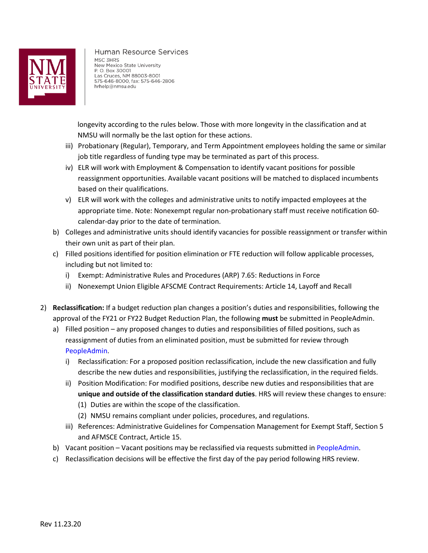

Human Resource Services MSC 3HRS New Mexico State University P. O. Box 30001 Las Cruces, NM 88003-8001 575-646-8000, fax: 575-646-2806 hrhelp@nmsu.edu

 longevity according to the rules below. Those with more longevity in the classification and at NMSU will normally be the last option for these actions.

- iii) Probationary (Regular), Temporary, and Term Appointment employees holding the same or similar job title regardless of funding type may be terminated as part of this process.
- iv) ELR will work with Employment & Compensation to identify vacant positions for possible reassignment opportunities. Available vacant positions will be matched to displaced incumbents based on their qualifications.
- v) ELR will work with the colleges and administrative units to notify impacted employees at the appropriate time. Note: Nonexempt regular non-probationary staff must receive notification 60 calendar-day prior to the date of termination.
- b) Colleges and administrative units should identify vacancies for possible reassignment or transfer within their own unit as part of their plan.
- c) Filled positions identified for position elimination or FTE reduction will follow applicable processes, including but not limited to:
	- i) Exempt: Administrative Rules and Procedures (ARP) 7.65: Reductions in Force
	- ii) Nonexempt Union Eligible AFSCME Contract Requirements: Article 14, Layoff and Recall
- 2) **Reclassification:** If a budget reduction plan changes a position's duties and responsibilities, following the approval of the FY21 or FY22 Budget Reduction Plan, the following **must** be submitted in PeopleAdmin.
	- a) Filled position any proposed changes to duties and responsibilities of filled positions, such as reassignment of duties from an eliminated position, must be submitted for review through [PeopleAdmin.](https://jobs.nmsu.edu/hr/sessions/new)
		- i) Reclassification: For a proposed position reclassification, include the new classification and fully describe the new duties and responsibilities, justifying the reclassification, in the required fields.
		- ii) Position Modification: For modified positions, describe new duties and responsibilities that are **unique and outside of the classification standard duties**. HRS will review these changes to ensure:
			- (1) Duties are within the scope of the classification.
			- (2) NMSU remains compliant under policies, procedures, and regulations.
		- iii) References: Administrative Guidelines for Compensation Management for Exempt Staff, Section 5 and AFMSCE Contract, Article 15.
	- b) Vacant position Vacant positions may be reclassified via requests submitted in [PeopleAdmin.](https://jobs.nmsu.edu/hr/sessions/new)
	- c) Reclassification decisions will be effective the first day of the pay period following HRS review.